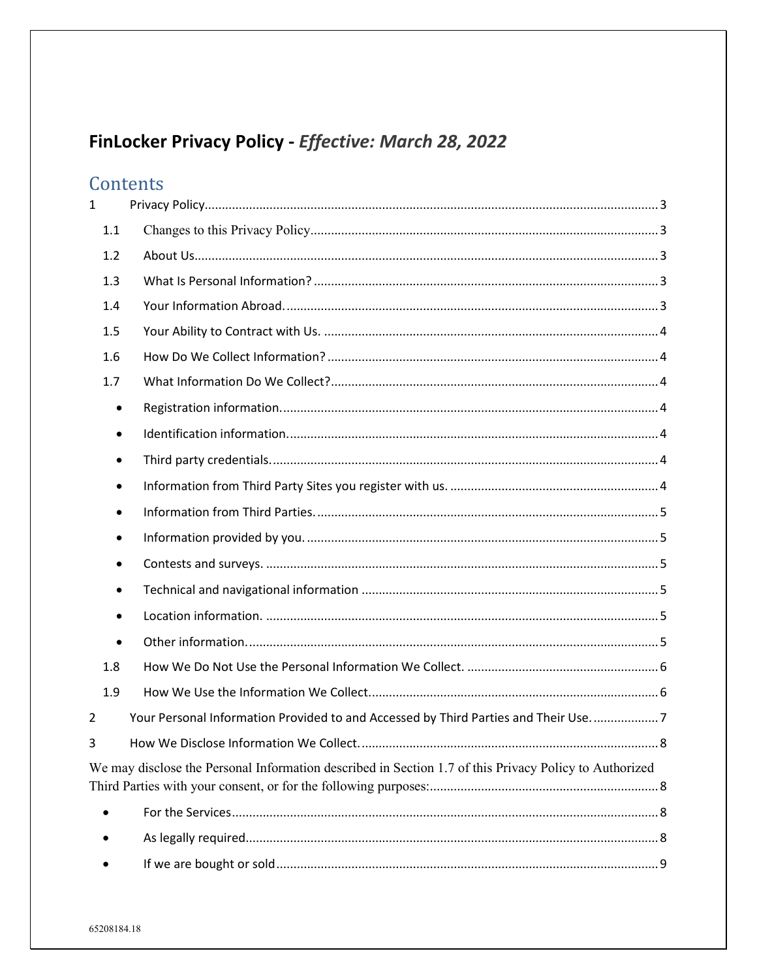# FinLocker Privacy Policy - Effective: March 28, 2022

# Contents

| $\mathbf{1}$   |                                                                                                        |
|----------------|--------------------------------------------------------------------------------------------------------|
| 1.1            |                                                                                                        |
| 1.2            |                                                                                                        |
| 1.3            |                                                                                                        |
| 1.4            |                                                                                                        |
| 1.5            |                                                                                                        |
| 1.6            |                                                                                                        |
| 1.7            |                                                                                                        |
| ٠              |                                                                                                        |
| $\bullet$      |                                                                                                        |
| ٠              |                                                                                                        |
| $\bullet$      |                                                                                                        |
| $\bullet$      |                                                                                                        |
| ٠              |                                                                                                        |
| ٠              |                                                                                                        |
| ٠              |                                                                                                        |
| $\bullet$      |                                                                                                        |
| $\bullet$      |                                                                                                        |
| 1.8            |                                                                                                        |
| 1.9            |                                                                                                        |
| $\overline{2}$ | Your Personal Information Provided to and Accessed by Third Parties and Their Use7                     |
| 3              |                                                                                                        |
|                | We may disclose the Personal Information described in Section 1.7 of this Privacy Policy to Authorized |
|                |                                                                                                        |
|                |                                                                                                        |
|                |                                                                                                        |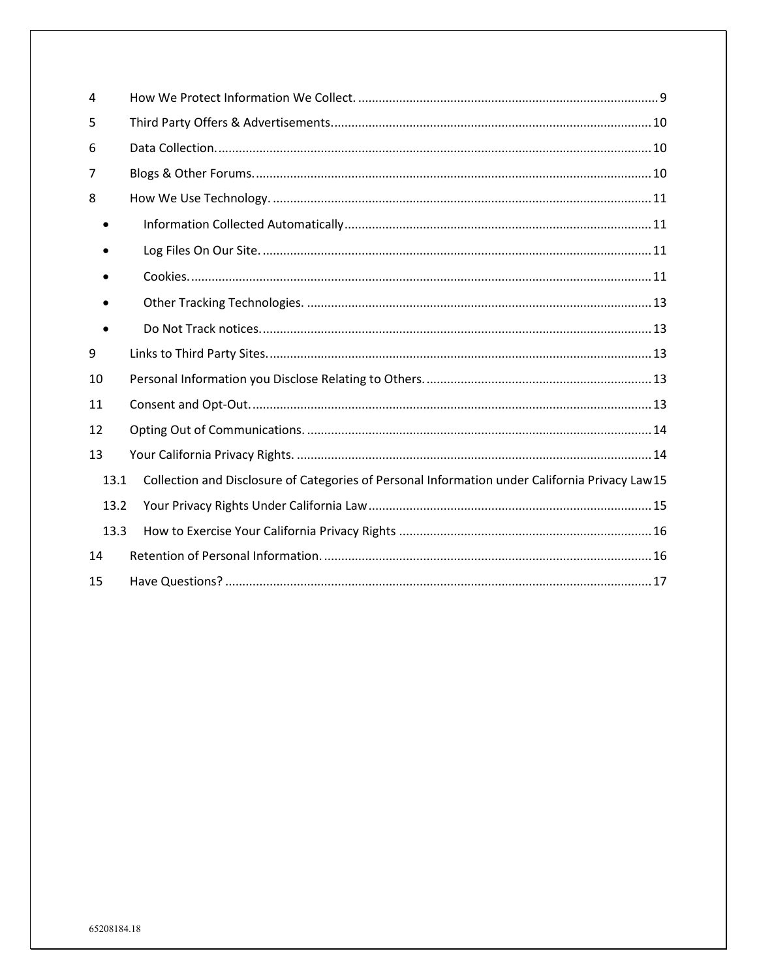| 4    |                                                                                                |
|------|------------------------------------------------------------------------------------------------|
| 5    |                                                                                                |
| 6    |                                                                                                |
| 7    |                                                                                                |
| 8    |                                                                                                |
|      |                                                                                                |
|      |                                                                                                |
|      |                                                                                                |
|      |                                                                                                |
|      |                                                                                                |
| 9    |                                                                                                |
| 10   |                                                                                                |
| 11   |                                                                                                |
| 12   |                                                                                                |
| 13   |                                                                                                |
| 13.1 | Collection and Disclosure of Categories of Personal Information under California Privacy Law15 |
| 13.2 |                                                                                                |
| 13.3 |                                                                                                |
| 14   |                                                                                                |
| 15   |                                                                                                |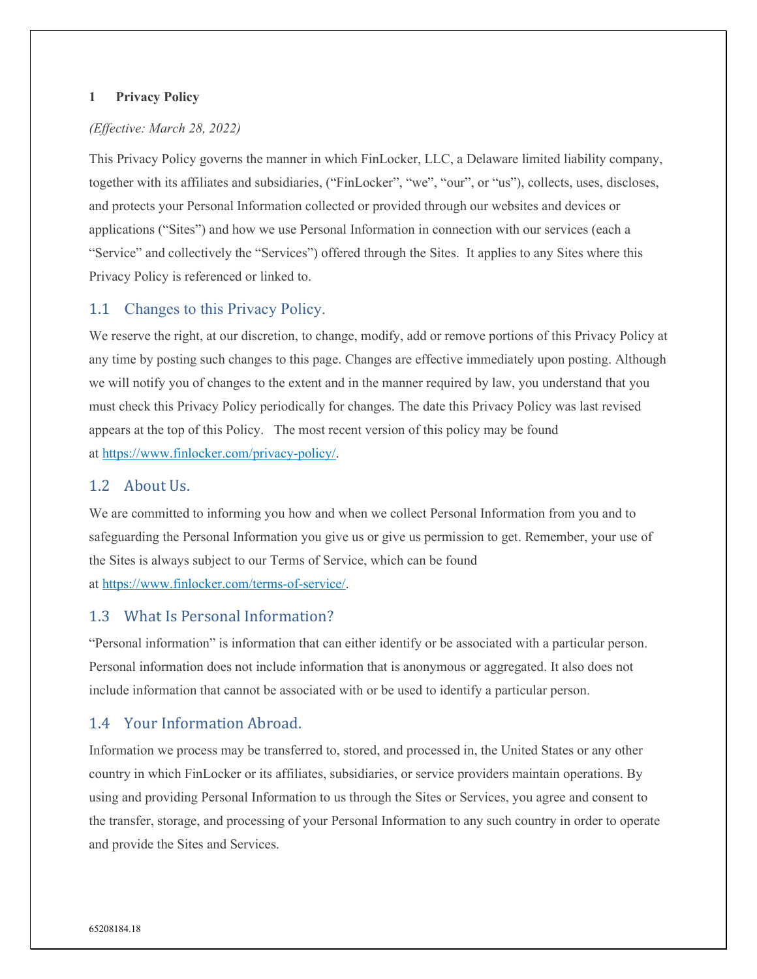#### <span id="page-2-0"></span>**1 Privacy Policy**

## *(Effective: March 28, 2022)*

This Privacy Policy governs the manner in which FinLocker, LLC, a Delaware limited liability company, together with its affiliates and subsidiaries, ("FinLocker", "we", "our", or "us"), collects, uses, discloses, and protects your Personal Information collected or provided through our websites and devices or applications ("Sites") and how we use Personal Information in connection with our services (each a "Service" and collectively the "Services") offered through the Sites. It applies to any Sites where this Privacy Policy is referenced or linked to.

## <span id="page-2-1"></span>1.1 Changes to this Privacy Policy.

We reserve the right, at our discretion, to change, modify, add or remove portions of this Privacy Policy at any time by posting such changes to this page. Changes are effective immediately upon posting. Although we will notify you of changes to the extent and in the manner required by law, you understand that you must check this Privacy Policy periodically for changes. The date this Privacy Policy was last revised appears at the top of this Policy. The most recent version of this policy may be found at [https://www.finlocker.com/privacy-policy/.](https://www.finlocker.com/privacy-policy/)

## <span id="page-2-2"></span>1.2 About Us.

We are committed to informing you how and when we collect Personal Information from you and to safeguarding the Personal Information you give us or give us permission to get. Remember, your use of the Sites is always subject to our Terms of Service, which can be found at [https://www.finlocker.com/terms-of-service/.](https://www.finlocker.com/terms-of-service/)

## <span id="page-2-3"></span>1.3 What Is Personal Information?

"Personal information" is information that can either identify or be associated with a particular person. Personal information does not include information that is anonymous or aggregated. It also does not include information that cannot be associated with or be used to identify a particular person.

# <span id="page-2-4"></span>1.4 Your Information Abroad.

Information we process may be transferred to, stored, and processed in, the United States or any other country in which FinLocker or its affiliates, subsidiaries, or service providers maintain operations. By using and providing Personal Information to us through the Sites or Services, you agree and consent to the transfer, storage, and processing of your Personal Information to any such country in order to operate and provide the Sites and Services.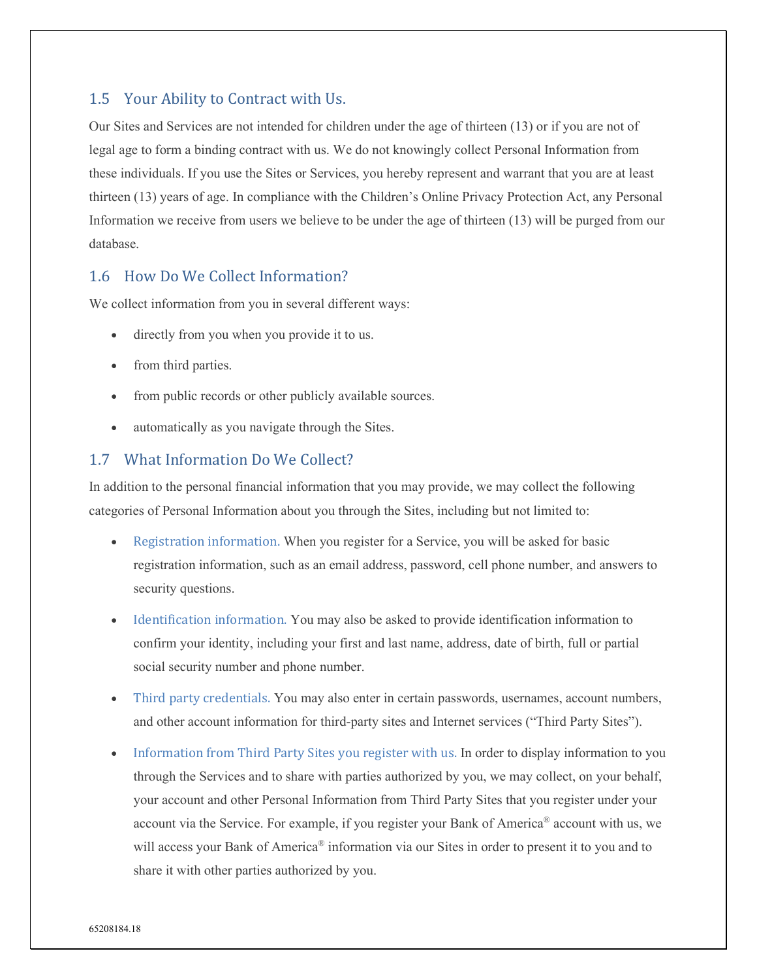# <span id="page-3-0"></span>1.5 Your Ability to Contract with Us.

Our Sites and Services are not intended for children under the age of thirteen (13) or if you are not of legal age to form a binding contract with us. We do not knowingly collect Personal Information from these individuals. If you use the Sites or Services, you hereby represent and warrant that you are at least thirteen (13) years of age. In compliance with the Children's Online Privacy Protection Act, any Personal Information we receive from users we believe to be under the age of thirteen (13) will be purged from our database.

# <span id="page-3-1"></span>1.6 How Do We Collect Information?

We collect information from you in several different ways:

- directly from you when you provide it to us.
- from third parties.
- from public records or other publicly available sources.
- automatically as you navigate through the Sites.

## <span id="page-3-2"></span>1.7 What Information Do We Collect?

In addition to the personal financial information that you may provide, we may collect the following categories of Personal Information about you through the Sites, including but not limited to:

- <span id="page-3-3"></span>• Registration information. When you register for a Service, you will be asked for basic registration information, such as an email address, password, cell phone number, and answers to security questions.
- <span id="page-3-4"></span>• Identification information. You may also be asked to provide identification information to confirm your identity, including your first and last name, address, date of birth, full or partial social security number and phone number.
- <span id="page-3-5"></span>• Third party credentials. You may also enter in certain passwords, usernames, account numbers, and other account information for third-party sites and Internet services ("Third Party Sites").
- <span id="page-3-6"></span>• Information from Third Party Sites you register with us. In order to display information to you through the Services and to share with parties authorized by you, we may collect, on your behalf, your account and other Personal Information from Third Party Sites that you register under your account via the Service. For example, if you register your Bank of America® account with us, we will access your Bank of America<sup>®</sup> information via our Sites in order to present it to you and to share it with other parties authorized by you.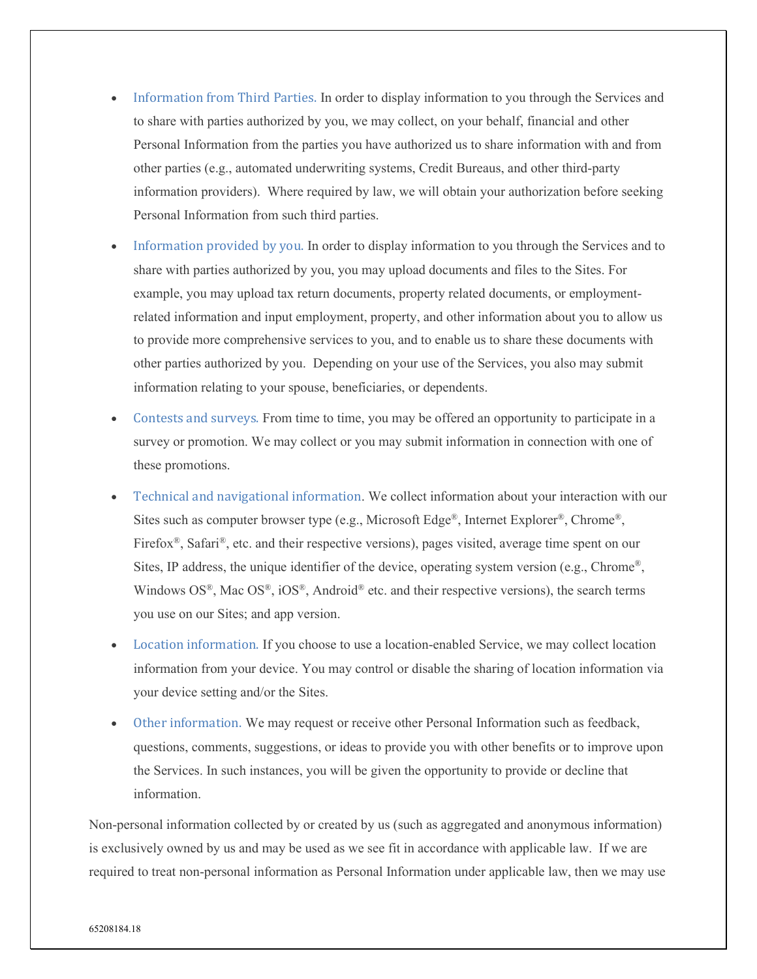- <span id="page-4-0"></span>• Information from Third Parties. In order to display information to you through the Services and to share with parties authorized by you, we may collect, on your behalf, financial and other Personal Information from the parties you have authorized us to share information with and from other parties (e.g., automated underwriting systems, Credit Bureaus, and other third-party information providers). Where required by law, we will obtain your authorization before seeking Personal Information from such third parties.
- <span id="page-4-1"></span>• Information provided by you. In order to display information to you through the Services and to share with parties authorized by you, you may upload documents and files to the Sites. For example, you may upload tax return documents, property related documents, or employmentrelated information and input employment, property, and other information about you to allow us to provide more comprehensive services to you, and to enable us to share these documents with other parties authorized by you. Depending on your use of the Services, you also may submit information relating to your spouse, beneficiaries, or dependents.
- <span id="page-4-2"></span>• Contests and surveys. From time to time, you may be offered an opportunity to participate in a survey or promotion. We may collect or you may submit information in connection with one of these promotions.
- <span id="page-4-3"></span>• Technical and navigational information. We collect information about your interaction with our Sites such as computer browser type (e.g., Microsoft Edge<sup>®</sup>, Internet Explorer<sup>®</sup>, Chrome<sup>®</sup>, Firefox<sup>®</sup>, Safari<sup>®</sup>, etc. and their respective versions), pages visited, average time spent on our Sites, IP address, the unique identifier of the device, operating system version (e.g., Chrome®, Windows  $OS^{\mathbb{R}}$ , Mac  $OS^{\mathbb{R}}$ ,  $iOS^{\mathbb{R}}$ , Android<sup>®</sup> etc. and their respective versions), the search terms you use on our Sites; and app version.
- <span id="page-4-4"></span>• Location information. If you choose to use a location-enabled Service, we may collect location information from your device. You may control or disable the sharing of location information via your device setting and/or the Sites.
- <span id="page-4-5"></span>• Other information. We may request or receive other Personal Information such as feedback, questions, comments, suggestions, or ideas to provide you with other benefits or to improve upon the Services. In such instances, you will be given the opportunity to provide or decline that information.

Non-personal information collected by or created by us (such as aggregated and anonymous information) is exclusively owned by us and may be used as we see fit in accordance with applicable law. If we are required to treat non-personal information as Personal Information under applicable law, then we may use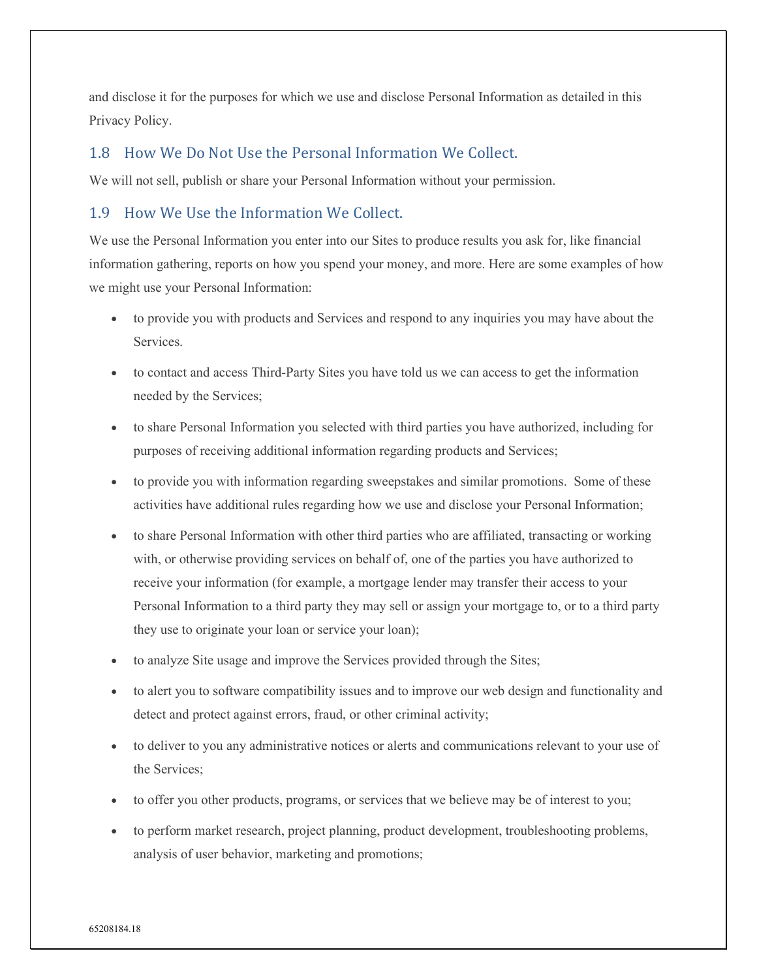and disclose it for the purposes for which we use and disclose Personal Information as detailed in this Privacy Policy.

# <span id="page-5-0"></span>1.8 How We Do Not Use the Personal Information We Collect.

We will not sell, publish or share your Personal Information without your permission.

# <span id="page-5-1"></span>1.9 How We Use the Information We Collect.

We use the Personal Information you enter into our Sites to produce results you ask for, like financial information gathering, reports on how you spend your money, and more. Here are some examples of how we might use your Personal Information:

- to provide you with products and Services and respond to any inquiries you may have about the Services.
- to contact and access Third-Party Sites you have told us we can access to get the information needed by the Services;
- to share Personal Information you selected with third parties you have authorized, including for purposes of receiving additional information regarding products and Services;
- to provide you with information regarding sweepstakes and similar promotions. Some of these activities have additional rules regarding how we use and disclose your Personal Information;
- to share Personal Information with other third parties who are affiliated, transacting or working with, or otherwise providing services on behalf of, one of the parties you have authorized to receive your information (for example, a mortgage lender may transfer their access to your Personal Information to a third party they may sell or assign your mortgage to, or to a third party they use to originate your loan or service your loan);
- to analyze Site usage and improve the Services provided through the Sites;
- to alert you to software compatibility issues and to improve our web design and functionality and detect and protect against errors, fraud, or other criminal activity;
- to deliver to you any administrative notices or alerts and communications relevant to your use of the Services;
- to offer you other products, programs, or services that we believe may be of interest to you;
- to perform market research, project planning, product development, troubleshooting problems, analysis of user behavior, marketing and promotions;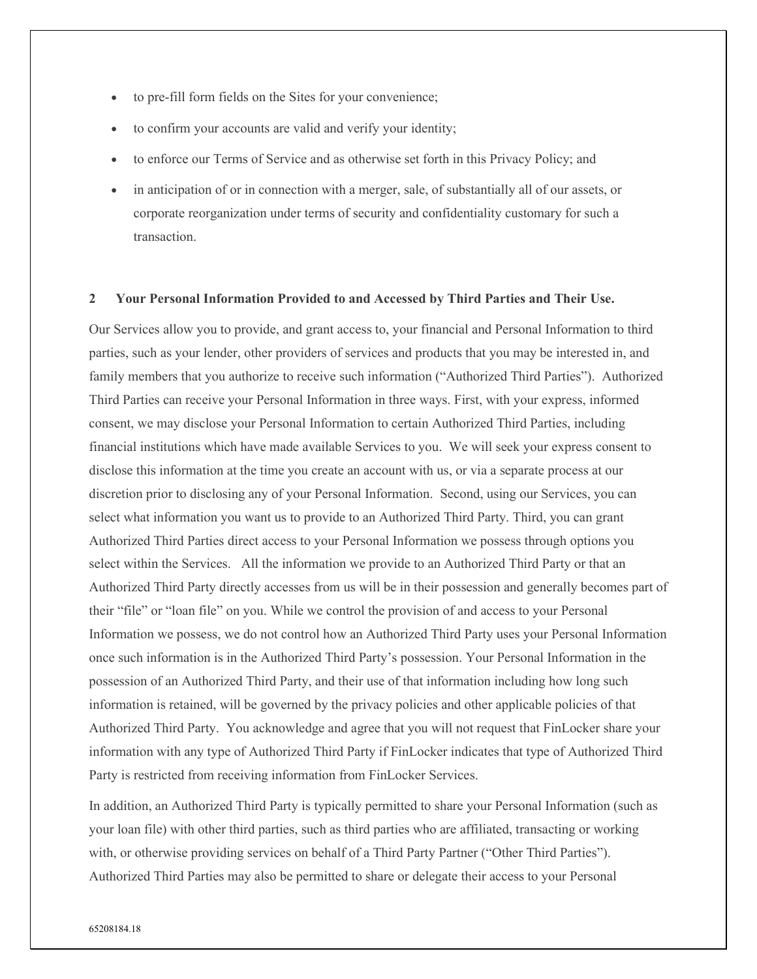- to pre-fill form fields on the Sites for your convenience;
- to confirm your accounts are valid and verify your identity;
- to enforce our Terms of Service and as otherwise set forth in this Privacy Policy; and
- in anticipation of or in connection with a merger, sale, of substantially all of our assets, or corporate reorganization under terms of security and confidentiality customary for such a transaction.

#### <span id="page-6-0"></span>**2 Your Personal Information Provided to and Accessed by Third Parties and Their Use.**

Our Services allow you to provide, and grant access to, your financial and Personal Information to third parties, such as your lender, other providers of services and products that you may be interested in, and family members that you authorize to receive such information ("Authorized Third Parties"). Authorized Third Parties can receive your Personal Information in three ways. First, with your express, informed consent, we may disclose your Personal Information to certain Authorized Third Parties, including financial institutions which have made available Services to you. We will seek your express consent to disclose this information at the time you create an account with us, or via a separate process at our discretion prior to disclosing any of your Personal Information. Second, using our Services, you can select what information you want us to provide to an Authorized Third Party. Third, you can grant Authorized Third Parties direct access to your Personal Information we possess through options you select within the Services. All the information we provide to an Authorized Third Party or that an Authorized Third Party directly accesses from us will be in their possession and generally becomes part of their "file" or "loan file" on you. While we control the provision of and access to your Personal Information we possess, we do not control how an Authorized Third Party uses your Personal Information once such information is in the Authorized Third Party's possession. Your Personal Information in the possession of an Authorized Third Party, and their use of that information including how long such information is retained, will be governed by the privacy policies and other applicable policies of that Authorized Third Party. You acknowledge and agree that you will not request that FinLocker share your information with any type of Authorized Third Party if FinLocker indicates that type of Authorized Third Party is restricted from receiving information from FinLocker Services.

In addition, an Authorized Third Party is typically permitted to share your Personal Information (such as your loan file) with other third parties, such as third parties who are affiliated, transacting or working with, or otherwise providing services on behalf of a Third Party Partner ("Other Third Parties"). Authorized Third Parties may also be permitted to share or delegate their access to your Personal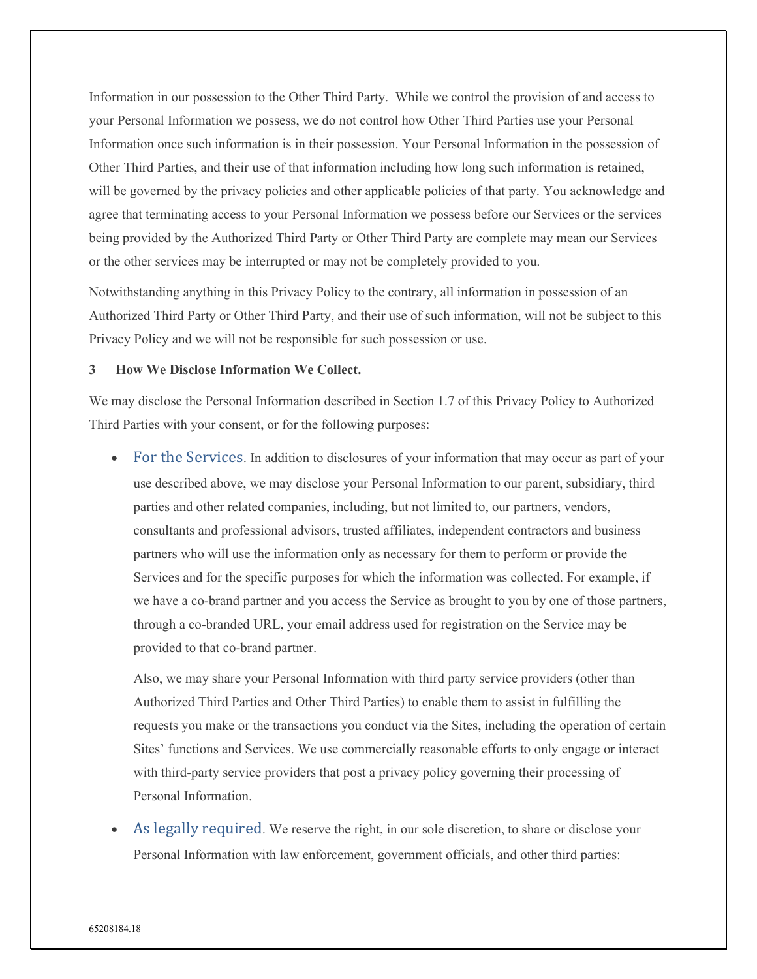Information in our possession to the Other Third Party. While we control the provision of and access to your Personal Information we possess, we do not control how Other Third Parties use your Personal Information once such information is in their possession. Your Personal Information in the possession of Other Third Parties, and their use of that information including how long such information is retained, will be governed by the privacy policies and other applicable policies of that party. You acknowledge and agree that terminating access to your Personal Information we possess before our Services or the services being provided by the Authorized Third Party or Other Third Party are complete may mean our Services or the other services may be interrupted or may not be completely provided to you.

Notwithstanding anything in this Privacy Policy to the contrary, all information in possession of an Authorized Third Party or Other Third Party, and their use of such information, will not be subject to this Privacy Policy and we will not be responsible for such possession or use.

## <span id="page-7-0"></span>**3 How We Disclose Information We Collect.**

<span id="page-7-1"></span>We may disclose the Personal Information described in Section 1.7 of this Privacy Policy to Authorized Third Parties with your consent, or for the following purposes:

<span id="page-7-2"></span>• For the Services. In addition to disclosures of your information that may occur as part of your use described above, we may disclose your Personal Information to our parent, subsidiary, third parties and other related companies, including, but not limited to, our partners, vendors, consultants and professional advisors, trusted affiliates, independent contractors and business partners who will use the information only as necessary for them to perform or provide the Services and for the specific purposes for which the information was collected. For example, if we have a co-brand partner and you access the Service as brought to you by one of those partners, through a co-branded URL, your email address used for registration on the Service may be provided to that co-brand partner.

Also, we may share your Personal Information with third party service providers (other than Authorized Third Parties and Other Third Parties) to enable them to assist in fulfilling the requests you make or the transactions you conduct via the Sites, including the operation of certain Sites' functions and Services. We use commercially reasonable efforts to only engage or interact with third-party service providers that post a privacy policy governing their processing of Personal Information.

<span id="page-7-3"></span>As legally required. We reserve the right, in our sole discretion, to share or disclose your Personal Information with law enforcement, government officials, and other third parties: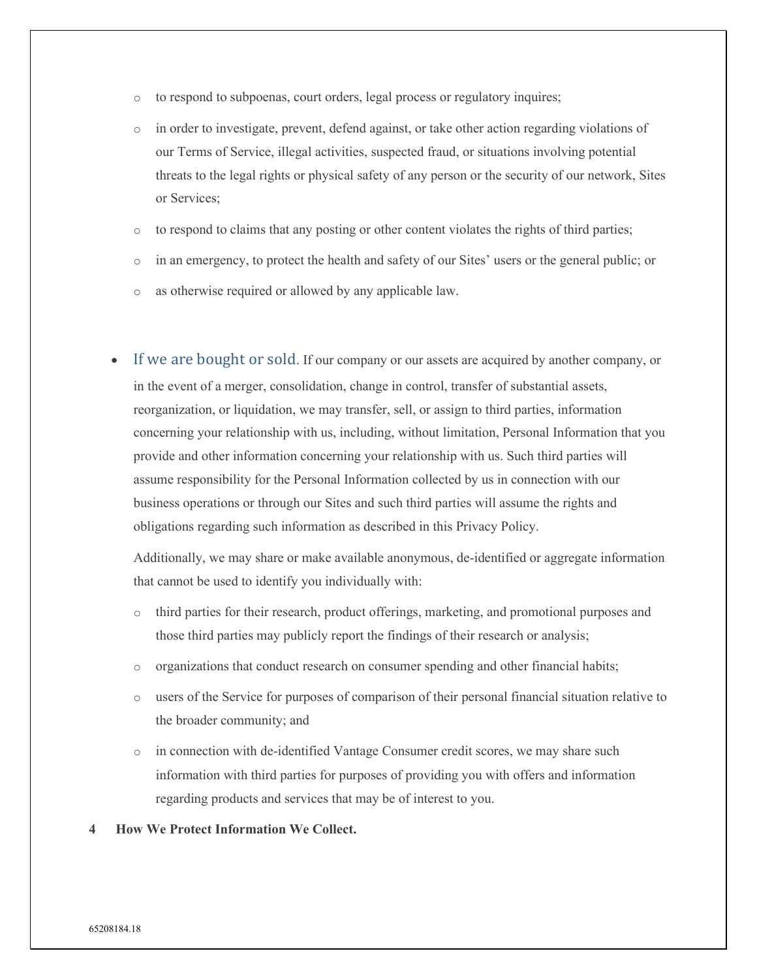- o to respond to subpoenas, court orders, legal process or regulatory inquires;
- o in order to investigate, prevent, defend against, or take other action regarding violations of our Terms of Service, illegal activities, suspected fraud, or situations involving potential threats to the legal rights or physical safety of any person or the security of our network, Sites or Services;
- o to respond to claims that any posting or other content violates the rights of third parties;
- o in an emergency, to protect the health and safety of our Sites' users or the general public; or
- o as otherwise required or allowed by any applicable law.
- <span id="page-8-0"></span>If we are bought or sold. If our company or our assets are acquired by another company, or in the event of a merger, consolidation, change in control, transfer of substantial assets, reorganization, or liquidation, we may transfer, sell, or assign to third parties, information concerning your relationship with us, including, without limitation, Personal Information that you provide and other information concerning your relationship with us. Such third parties will assume responsibility for the Personal Information collected by us in connection with our business operations or through our Sites and such third parties will assume the rights and obligations regarding such information as described in this Privacy Policy.

Additionally, we may share or make available anonymous, de-identified or aggregate information that cannot be used to identify you individually with:

- o third parties for their research, product offerings, marketing, and promotional purposes and those third parties may publicly report the findings of their research or analysis;
- o organizations that conduct research on consumer spending and other financial habits;
- o users of the Service for purposes of comparison of their personal financial situation relative to the broader community; and
- o in connection with de-identified Vantage Consumer credit scores, we may share such information with third parties for purposes of providing you with offers and information regarding products and services that may be of interest to you.
- <span id="page-8-1"></span>**4 How We Protect Information We Collect.**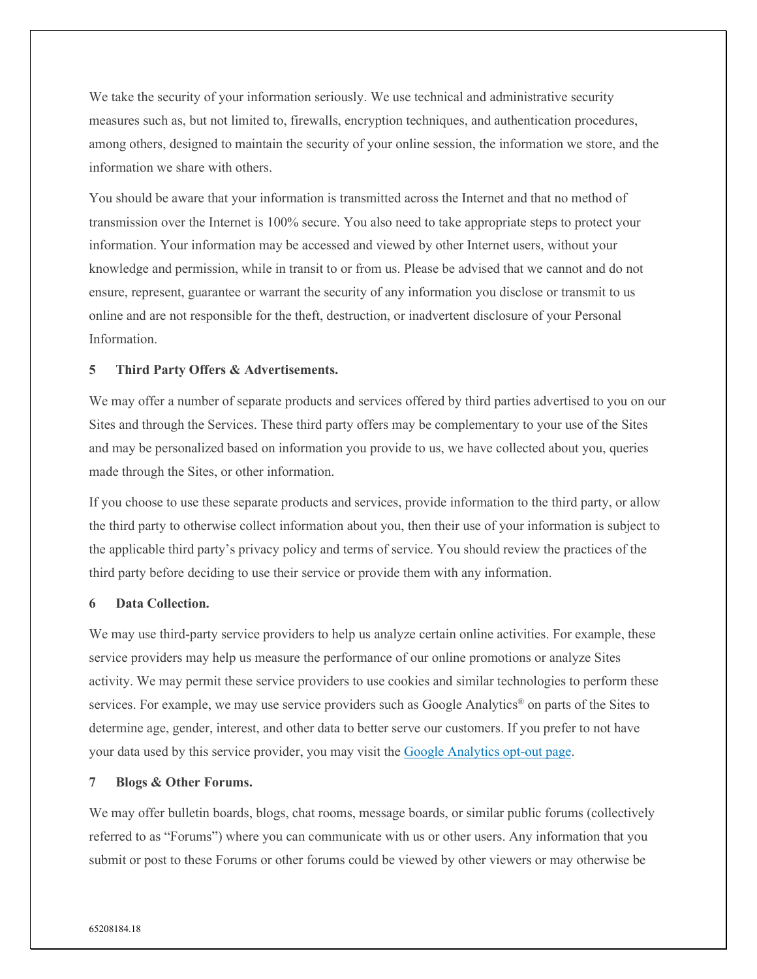We take the security of your information seriously. We use technical and administrative security measures such as, but not limited to, firewalls, encryption techniques, and authentication procedures, among others, designed to maintain the security of your online session, the information we store, and the information we share with others.

You should be aware that your information is transmitted across the Internet and that no method of transmission over the Internet is 100% secure. You also need to take appropriate steps to protect your information. Your information may be accessed and viewed by other Internet users, without your knowledge and permission, while in transit to or from us. Please be advised that we cannot and do not ensure, represent, guarantee or warrant the security of any information you disclose or transmit to us online and are not responsible for the theft, destruction, or inadvertent disclosure of your Personal Information.

#### <span id="page-9-0"></span>**5 Third Party Offers & Advertisements.**

We may offer a number of separate products and services offered by third parties advertised to you on our Sites and through the Services. These third party offers may be complementary to your use of the Sites and may be personalized based on information you provide to us, we have collected about you, queries made through the Sites, or other information.

If you choose to use these separate products and services, provide information to the third party, or allow the third party to otherwise collect information about you, then their use of your information is subject to the applicable third party's privacy policy and terms of service. You should review the practices of the third party before deciding to use their service or provide them with any information.

#### <span id="page-9-1"></span>**6 Data Collection.**

We may use third-party service providers to help us analyze certain online activities. For example, these service providers may help us measure the performance of our online promotions or analyze Sites activity. We may permit these service providers to use cookies and similar technologies to perform these services. For example, we may use service providers such as Google Analytics<sup>®</sup> on parts of the Sites to determine age, gender, interest, and other data to better serve our customers. If you prefer to not have your data used by this service provider, you may visit the [Google Analytics opt-out](https://tools.google.com/dlpage/gaoptout/) page.

#### <span id="page-9-2"></span>**7 Blogs & Other Forums.**

We may offer bulletin boards, blogs, chat rooms, message boards, or similar public forums (collectively referred to as "Forums") where you can communicate with us or other users. Any information that you submit or post to these Forums or other forums could be viewed by other viewers or may otherwise be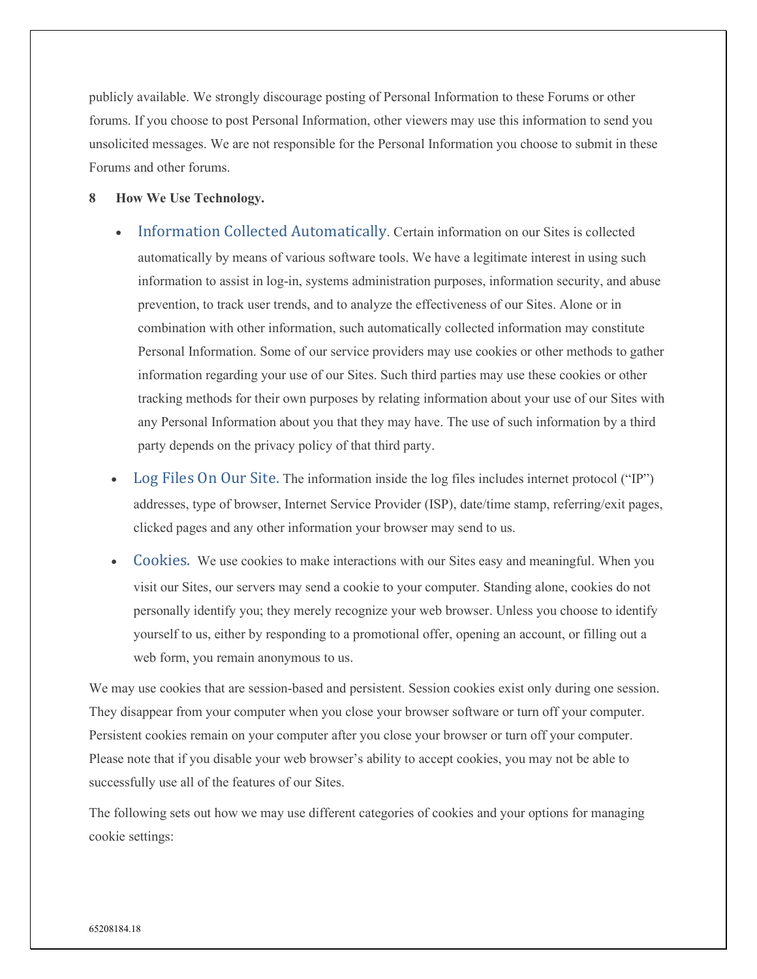publicly available. We strongly discourage posting of Personal Information to these Forums or other forums. If you choose to post Personal Information, other viewers may use this information to send you unsolicited messages. We are not responsible for the Personal Information you choose to submit in these Forums and other forums.

#### <span id="page-10-1"></span><span id="page-10-0"></span>**8 How We Use Technology.**

- Information Collected Automatically. Certain information on our Sites is collected automatically by means of various software tools. We have a legitimate interest in using such information to assist in log-in, systems administration purposes, information security, and abuse prevention, to track user trends, and to analyze the effectiveness of our Sites. Alone or in combination with other information, such automatically collected information may constitute Personal Information. Some of our service providers may use cookies or other methods to gather information regarding your use of our Sites. Such third parties may use these cookies or other tracking methods for their own purposes by relating information about your use of our Sites with any Personal Information about you that they may have. The use of such information by a third party depends on the privacy policy of that third party.
- <span id="page-10-2"></span>Log Files On Our Site. The information inside the log files includes internet protocol ("IP") addresses, type of browser, Internet Service Provider (ISP), date/time stamp, referring/exit pages, clicked pages and any other information your browser may send to us.
- <span id="page-10-3"></span>• Cookies. We use cookies to make interactions with our Sites easy and meaningful. When you visit our Sites, our servers may send a cookie to your computer. Standing alone, cookies do not personally identify you; they merely recognize your web browser. Unless you choose to identify yourself to us, either by responding to a promotional offer, opening an account, or filling out a web form, you remain anonymous to us.

We may use cookies that are session-based and persistent. Session cookies exist only during one session. They disappear from your computer when you close your browser software or turn off your computer. Persistent cookies remain on your computer after you close your browser or turn off your computer. Please note that if you disable your web browser's ability to accept cookies, you may not be able to successfully use all of the features of our Sites.

The following sets out how we may use different categories of cookies and your options for managing cookie settings: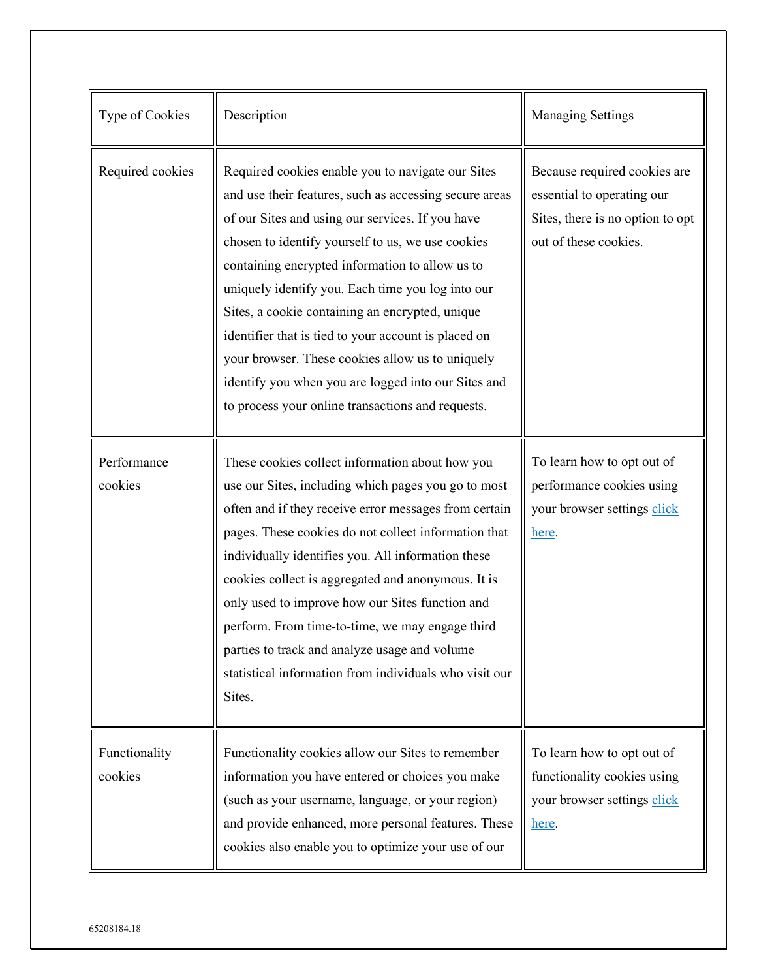| Type of Cookies          | Description                                                                                                                                                                                                                                                                                                                                                                                                                                                                                                                                                                                             | <b>Managing Settings</b>                                                                                                |
|--------------------------|---------------------------------------------------------------------------------------------------------------------------------------------------------------------------------------------------------------------------------------------------------------------------------------------------------------------------------------------------------------------------------------------------------------------------------------------------------------------------------------------------------------------------------------------------------------------------------------------------------|-------------------------------------------------------------------------------------------------------------------------|
| Required cookies         | Required cookies enable you to navigate our Sites<br>and use their features, such as accessing secure areas<br>of our Sites and using our services. If you have<br>chosen to identify yourself to us, we use cookies<br>containing encrypted information to allow us to<br>uniquely identify you. Each time you log into our<br>Sites, a cookie containing an encrypted, unique<br>identifier that is tied to your account is placed on<br>your browser. These cookies allow us to uniquely<br>identify you when you are logged into our Sites and<br>to process your online transactions and requests. | Because required cookies are<br>essential to operating our<br>Sites, there is no option to opt<br>out of these cookies. |
| Performance<br>cookies   | These cookies collect information about how you<br>use our Sites, including which pages you go to most<br>often and if they receive error messages from certain<br>pages. These cookies do not collect information that<br>individually identifies you. All information these<br>cookies collect is aggregated and anonymous. It is<br>only used to improve how our Sites function and<br>perform. From time-to-time, we may engage third<br>parties to track and analyze usage and volume<br>statistical information from individuals who visit our<br>Sites.                                          | To learn how to opt out of<br>performance cookies using<br>your browser settings click<br>here.                         |
| Functionality<br>cookies | Functionality cookies allow our Sites to remember<br>information you have entered or choices you make<br>(such as your username, language, or your region)<br>and provide enhanced, more personal features. These<br>cookies also enable you to optimize your use of our                                                                                                                                                                                                                                                                                                                                | To learn how to opt out of<br>functionality cookies using<br>your browser settings click<br>here.                       |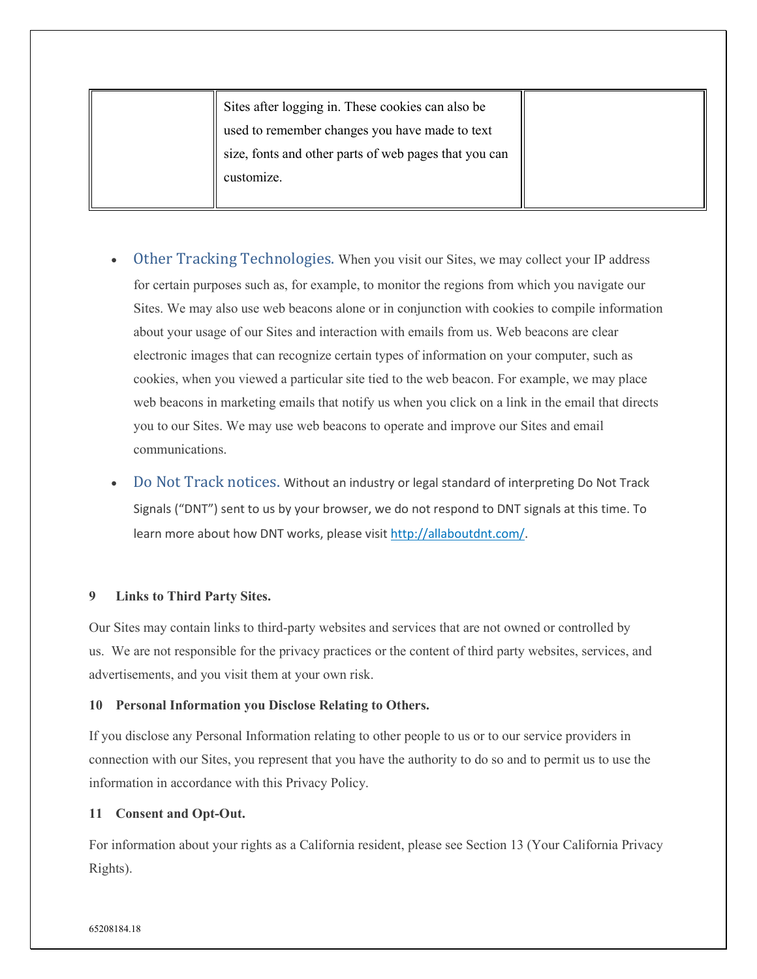Sites after logging in. These cookies can also be used to remember changes you have made to text size, fonts and other parts of web pages that you can customize.

- <span id="page-12-0"></span>• Other Tracking Technologies. When you visit our Sites, we may collect your IP address for certain purposes such as, for example, to monitor the regions from which you navigate our Sites. We may also use web beacons alone or in conjunction with cookies to compile information about your usage of our Sites and interaction with emails from us. Web beacons are clear electronic images that can recognize certain types of information on your computer, such as cookies, when you viewed a particular site tied to the web beacon. For example, we may place web beacons in marketing emails that notify us when you click on a link in the email that directs you to our Sites. We may use web beacons to operate and improve our Sites and email communications.
- <span id="page-12-1"></span>• Do Not Track notices. Without an industry or legal standard of interpreting Do Not Track Signals ("DNT") sent to us by your browser, we do not respond to DNT signals at this time. To learn more about how DNT works, please visit [http://allaboutdnt.com/.](http://allaboutdnt.com/)

## <span id="page-12-2"></span>**9 Links to Third Party Sites.**

Our Sites may contain links to third-party websites and services that are not owned or controlled by us. We are not responsible for the privacy practices or the content of third party websites, services, and advertisements, and you visit them at your own risk.

#### <span id="page-12-3"></span>**10 Personal Information you Disclose Relating to Others.**

If you disclose any Personal Information relating to other people to us or to our service providers in connection with our Sites, you represent that you have the authority to do so and to permit us to use the information in accordance with this Privacy Policy.

#### <span id="page-12-4"></span>**11 Consent and Opt-Out.**

For information about your rights as a California resident, please see Section 13 (Your California Privacy Rights).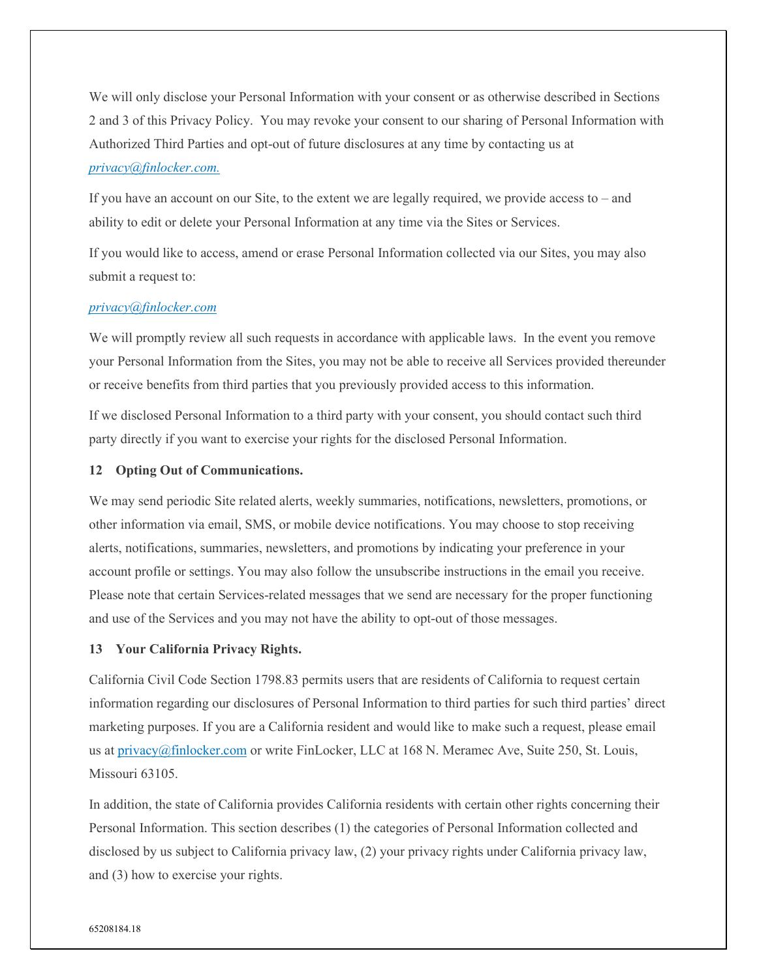We will only disclose your Personal Information with your consent or as otherwise described in Sections 2 and 3 of this Privacy Policy. You may revoke your consent to our sharing of Personal Information with Authorized Third Parties and opt-out of future disclosures at any time by contacting us at *[privacy@finlocker.com.](mailto:privacy@finlocker.com)* 

If you have an account on our Site, to the extent we are legally required, we provide access to – and ability to edit or delete your Personal Information at any time via the Sites or Services.

If you would like to access, amend or erase Personal Information collected via our Sites, you may also submit a request to:

## *[privacy@finlocker.com](mailto:privacy@finlocker.com)*

We will promptly review all such requests in accordance with applicable laws. In the event you remove your Personal Information from the Sites, you may not be able to receive all Services provided thereunder or receive benefits from third parties that you previously provided access to this information.

If we disclosed Personal Information to a third party with your consent, you should contact such third party directly if you want to exercise your rights for the disclosed Personal Information.

#### <span id="page-13-0"></span>**12 Opting Out of Communications.**

We may send periodic Site related alerts, weekly summaries, notifications, newsletters, promotions, or other information via email, SMS, or mobile device notifications. You may choose to stop receiving alerts, notifications, summaries, newsletters, and promotions by indicating your preference in your account profile or settings. You may also follow the unsubscribe instructions in the email you receive. Please note that certain Services-related messages that we send are necessary for the proper functioning and use of the Services and you may not have the ability to opt-out of those messages.

#### <span id="page-13-1"></span>**13 Your California Privacy Rights.**

California Civil Code Section 1798.83 permits users that are residents of California to request certain information regarding our disclosures of Personal Information to third parties for such third parties' direct marketing purposes. If you are a California resident and would like to make such a request, please email us at [privacy@finlocker.com](mailto:privacy@finlocker.com) or write FinLocker, LLC at 168 N. Meramec Ave, Suite 250, St. Louis, Missouri 63105.

In addition, the state of California provides California residents with certain other rights concerning their Personal Information. This section describes (1) the categories of Personal Information collected and disclosed by us subject to California privacy law, (2) your privacy rights under California privacy law, and (3) how to exercise your rights.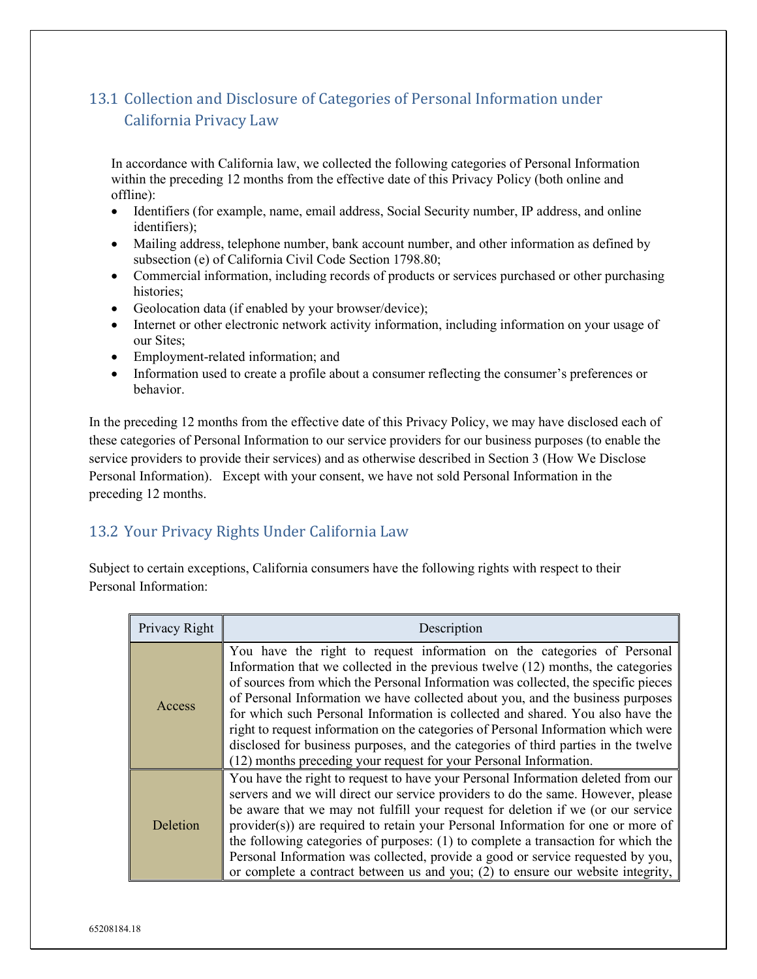# <span id="page-14-0"></span>13.1 Collection and Disclosure of Categories of Personal Information under California Privacy Law

In accordance with California law, we collected the following categories of Personal Information within the preceding 12 months from the effective date of this Privacy Policy (both online and offline):

- Identifiers (for example, name, email address, Social Security number, IP address, and online identifiers);
- Mailing address, telephone number, bank account number, and other information as defined by subsection (e) of California Civil Code Section 1798.80;
- Commercial information, including records of products or services purchased or other purchasing histories;
- Geolocation data (if enabled by your browser/device);
- Internet or other electronic network activity information, including information on your usage of our Sites;
- Employment-related information; and
- Information used to create a profile about a consumer reflecting the consumer's preferences or behavior.

In the preceding 12 months from the effective date of this Privacy Policy, we may have disclosed each of these categories of Personal Information to our service providers for our business purposes (to enable the service providers to provide their services) and as otherwise described in Section 3 (How We Disclose Personal Information). Except with your consent, we have not sold Personal Information in the preceding 12 months.

# <span id="page-14-1"></span>13.2 Your Privacy Rights Under California Law

Subject to certain exceptions, California consumers have the following rights with respect to their Personal Information:

| Privacy Right | Description                                                                                                                                                                                                                                                                                                                                                                                                                                                                                                                                                                                                                                                          |  |
|---------------|----------------------------------------------------------------------------------------------------------------------------------------------------------------------------------------------------------------------------------------------------------------------------------------------------------------------------------------------------------------------------------------------------------------------------------------------------------------------------------------------------------------------------------------------------------------------------------------------------------------------------------------------------------------------|--|
| Access        | You have the right to request information on the categories of Personal<br>Information that we collected in the previous twelve (12) months, the categories<br>of sources from which the Personal Information was collected, the specific pieces<br>of Personal Information we have collected about you, and the business purposes<br>for which such Personal Information is collected and shared. You also have the<br>right to request information on the categories of Personal Information which were<br>disclosed for business purposes, and the categories of third parties in the twelve<br>(12) months preceding your request for your Personal Information. |  |
| Deletion      | You have the right to request to have your Personal Information deleted from our<br>servers and we will direct our service providers to do the same. However, please<br>be aware that we may not fulfill your request for deletion if we (or our service<br>provider(s)) are required to retain your Personal Information for one or more of<br>the following categories of purposes: (1) to complete a transaction for which the<br>Personal Information was collected, provide a good or service requested by you,<br>or complete a contract between us and you; (2) to ensure our website integrity,                                                              |  |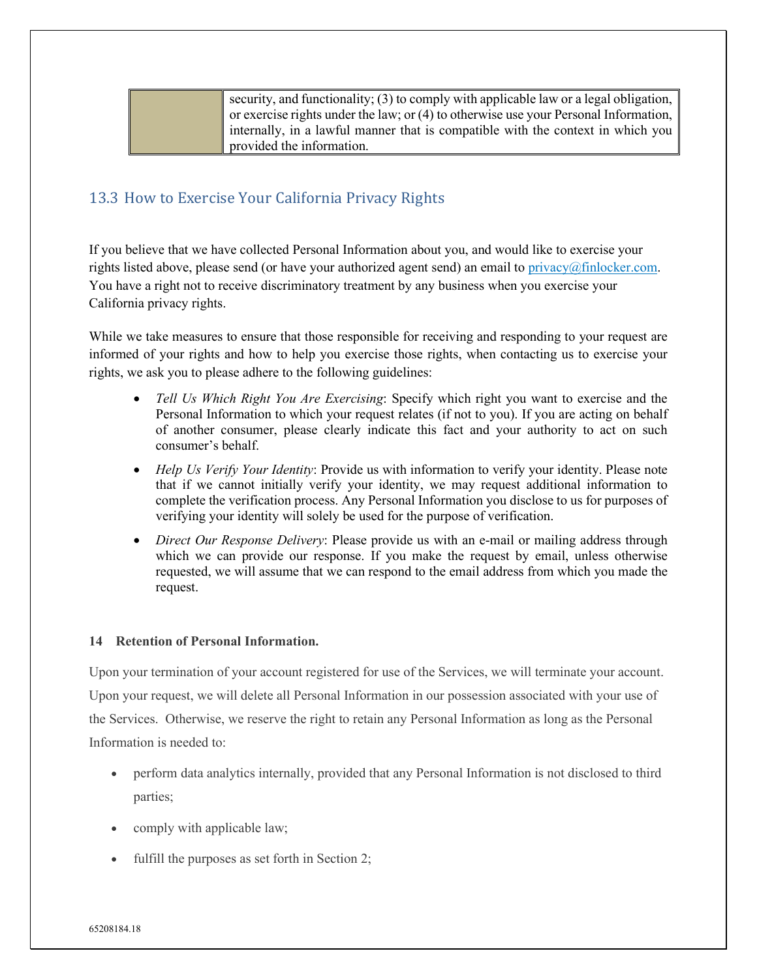| security, and functionality; $(3)$ to comply with applicable law or a legal obligation, |
|-----------------------------------------------------------------------------------------|
| or exercise rights under the law; or $(4)$ to otherwise use your Personal Information,  |
| internally, in a lawful manner that is compatible with the context in which you         |
| provided the information.                                                               |

# <span id="page-15-0"></span>13.3 How to Exercise Your California Privacy Rights

If you believe that we have collected Personal Information about you, and would like to exercise your rights listed above, please send (or have your authorized agent send) an email to [privacy@finlocker.com.](mailto:privacy@finlocker.com) You have a right not to receive discriminatory treatment by any business when you exercise your California privacy rights.

While we take measures to ensure that those responsible for receiving and responding to your request are informed of your rights and how to help you exercise those rights, when contacting us to exercise your rights, we ask you to please adhere to the following guidelines:

- *Tell Us Which Right You Are Exercising*: Specify which right you want to exercise and the Personal Information to which your request relates (if not to you). If you are acting on behalf of another consumer, please clearly indicate this fact and your authority to act on such consumer's behalf.
- *Help Us Verify Your Identity*: Provide us with information to verify your identity. Please note that if we cannot initially verify your identity, we may request additional information to complete the verification process. Any Personal Information you disclose to us for purposes of verifying your identity will solely be used for the purpose of verification.
- *Direct Our Response Delivery:* Please provide us with an e-mail or mailing address through which we can provide our response. If you make the request by email, unless otherwise requested, we will assume that we can respond to the email address from which you made the request.

## <span id="page-15-1"></span>**14 Retention of Personal Information.**

Upon your termination of your account registered for use of the Services, we will terminate your account. Upon your request, we will delete all Personal Information in our possession associated with your use of the Services. Otherwise, we reserve the right to retain any Personal Information as long as the Personal Information is needed to:

- perform data analytics internally, provided that any Personal Information is not disclosed to third parties;
- comply with applicable law;
- fulfill the purposes as set forth in Section 2;